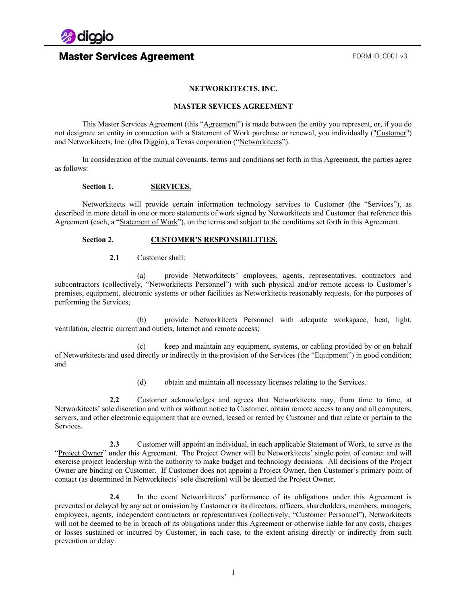

### **NETWORKITECTS, INC.**

### **MASTER SEVICES AGREEMENT**

This Master Services Agreement (this "Agreement") is made between the entity you represent, or, if you do not designate an entity in connection with a Statement of Work purchase or renewal, you individually ("Customer") and Networkitects, Inc. (dba Diggio), a Texas corporation ("Networkitects").

In consideration of the mutual covenants, terms and conditions set forth in this Agreement, the parties agree as follows:

### **Section 1. SERVICES.**

Networkitects will provide certain information technology services to Customer (the "Services"), as described in more detail in one or more statements of work signed by Networkitects and Customer that reference this Agreement (each, a "Statement of Work"), on the terms and subject to the conditions set forth in this Agreement.

### **Section 2. CUSTOMER'S RESPONSIBILITIES.**

**2.1** Customer shall:

(a) provide Networkitects' employees, agents, representatives, contractors and subcontractors (collectively, "Networkitects Personnel") with such physical and/or remote access to Customer's premises, equipment, electronic systems or other facilities as Networkitects reasonably requests, for the purposes of performing the Services;

(b) provide Networkitects Personnel with adequate workspace, heat, light, ventilation, electric current and outlets, Internet and remote access;

(c) keep and maintain any equipment, systems, or cabling provided by or on behalf of Networkitects and used directly or indirectly in the provision of the Services (the "Equipment") in good condition; and

(d) obtain and maintain all necessary licenses relating to the Services.

**2.2** Customer acknowledges and agrees that Networkitects may, from time to time, at Networkitects' sole discretion and with or without notice to Customer, obtain remote access to any and all computers, servers, and other electronic equipment that are owned, leased or rented by Customer and that relate or pertain to the Services.

**2.3** Customer will appoint an individual, in each applicable Statement of Work, to serve as the "Project Owner" under this Agreement. The Project Owner will be Networkitects' single point of contact and will exercise project leadership with the authority to make budget and technology decisions. All decisions of the Project Owner are binding on Customer. If Customer does not appoint a Project Owner, then Customer's primary point of contact (as determined in Networkitects' sole discretion) will be deemed the Project Owner.

**2.4** In the event Networkitects' performance of its obligations under this Agreement is prevented or delayed by any act or omission by Customer or its directors, officers, shareholders, members, managers, employees, agents, independent contractors or representatives (collectively, "Customer Personnel"), Networkitects will not be deemed to be in breach of its obligations under this Agreement or otherwise liable for any costs, charges or losses sustained or incurred by Customer, in each case, to the extent arising directly or indirectly from such prevention or delay.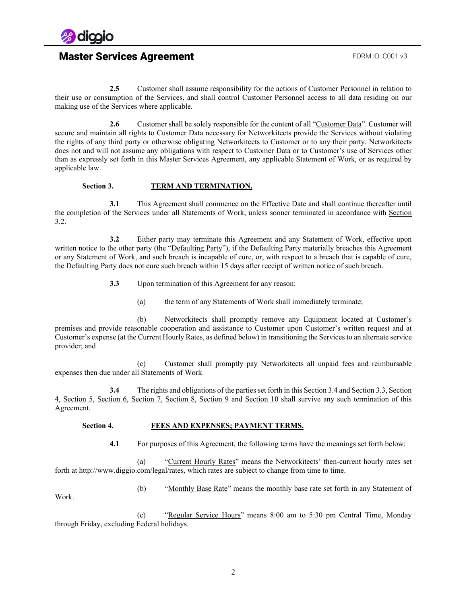

**2.5** Customer shall assume responsibility for the actions of Customer Personnel in relation to their use or consumption of the Services, and shall control Customer Personnel access to all data residing on our making use of the Services where applicable.

**2.6** Customer shall be solely responsible for the content of all "Customer Data". Customer will secure and maintain all rights to Customer Data necessary for Networkitects provide the Services without violating the rights of any third party or otherwise obligating Networkitects to Customer or to any their party. Networkitects does not and will not assume any obligations with respect to Customer Data or to Customer's use of Services other than as expressly set forth in this Master Services Agreement, any applicable Statement of Work, or as required by applicable law.

### **Section 3. TERM AND TERMINATION.**

**3.1** This Agreement shall commence on the Effective Date and shall continue thereafter until the completion of the Services under all Statements of Work, unless sooner terminated in accordance with Section [3.2.](#page-1-0)

<span id="page-1-0"></span>**3.2** Either party may terminate this Agreement and any Statement of Work, effective upon written notice to the other party (the "Defaulting Party"), if the Defaulting Party materially breaches this Agreement or any Statement of Work, and such breach is incapable of cure, or, with respect to a breach that is capable of cure, the Defaulting Party does not cure such breach within 15 days after receipt of written notice of such breach.

**3.3** Upon termination of this Agreement for any reason:

(a) the term of any Statements of Work shall immediately terminate;

<span id="page-1-2"></span>(b) Networkitects shall promptly remove any Equipment located at Customer's premises and provide reasonable cooperation and assistance to Customer upon Customer's written request and at Customer's expense (at the Current Hourly Rates, as defined below) in transitioning the Services to an alternate service provider; and

(c) Customer shall promptly pay Networkitects all unpaid fees and reimbursable expenses then due under all Statements of Work.

<span id="page-1-1"></span>**3.4** The rights and obligations of the parties set forth in this Sectio[n 3.4](#page-1-1) and Sectio[n 3.3,](#page-1-2) [Section](#page-1-3)  [4,](#page-1-3) [Section 5,](#page-2-0) [Section 6,](#page-3-0) [Section 7,](#page-3-1) [Section 8,](#page-3-2) [Section 9](#page-4-0) and [Section 10](#page-4-1) shall survive any such termination of this Agreement.

### <span id="page-1-3"></span>**Section 4. FEES AND EXPENSES; PAYMENT TERMS.**

**4.1** For purposes of this Agreement, the following terms have the meanings set forth below:

(a) "Current Hourly Rates" means the Networkitects' then-current hourly rates set forth at http://www.diggio.com/legal/rates, which rates are subject to change from time to time.

(b) "Monthly Base Rate" means the monthly base rate set forth in any Statement of

Work.

(c) "Regular Service Hours" means 8:00 am to 5:30 pm Central Time, Monday through Friday, excluding Federal holidays.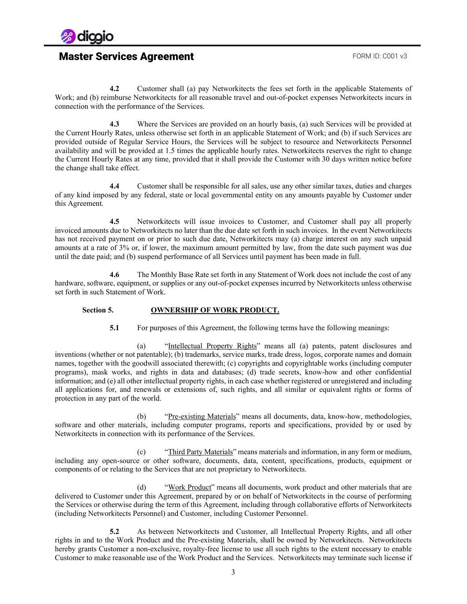

**4.2** Customer shall (a) pay Networkitects the fees set forth in the applicable Statements of Work; and (b) reimburse Networkitects for all reasonable travel and out-of-pocket expenses Networkitects incurs in connection with the performance of the Services.

**4.3** Where the Services are provided on an hourly basis, (a) such Services will be provided at the Current Hourly Rates, unless otherwise set forth in an applicable Statement of Work; and (b) if such Services are provided outside of Regular Service Hours, the Services will be subject to resource and Networkitects Personnel availability and will be provided at 1.5 times the applicable hourly rates. Networkitects reserves the right to change the Current Hourly Rates at any time, provided that it shall provide the Customer with 30 days written notice before the change shall take effect.

**4.4** Customer shall be responsible for all sales, use any other similar taxes, duties and charges of any kind imposed by any federal, state or local governmental entity on any amounts payable by Customer under this Agreement.

**4.5** Networkitects will issue invoices to Customer, and Customer shall pay all properly invoiced amounts due to Networkitects no later than the due date set forth in such invoices. In the event Networkitects has not received payment on or prior to such due date, Networkitects may (a) charge interest on any such unpaid amounts at a rate of 3% or, if lower, the maximum amount permitted by law, from the date such payment was due until the date paid; and (b) suspend performance of all Services until payment has been made in full.

**4.6** The Monthly Base Rate set forth in any Statement of Work does not include the cost of any hardware, software, equipment, or supplies or any out-of-pocket expenses incurred by Networkitects unless otherwise set forth in such Statement of Work.

### <span id="page-2-0"></span>**Section 5. OWNERSHIP OF WORK PRODUCT.**

**5.1** For purposes of this Agreement, the following terms have the following meanings:

(a) "Intellectual Property Rights" means all (a) patents, patent disclosures and inventions (whether or not patentable); (b) trademarks, service marks, trade dress, logos, corporate names and domain names, together with the goodwill associated therewith; (c) copyrights and copyrightable works (including computer programs), mask works, and rights in data and databases; (d) trade secrets, know-how and other confidential information; and (e) all other intellectual property rights, in each case whether registered or unregistered and including all applications for, and renewals or extensions of, such rights, and all similar or equivalent rights or forms of protection in any part of the world.

(b) "Pre-existing Materials" means all documents, data, know-how, methodologies, software and other materials, including computer programs, reports and specifications, provided by or used by Networkitects in connection with its performance of the Services.

(c) "Third Party Materials" means materials and information, in any form or medium, including any open-source or other software, documents, data, content, specifications, products, equipment or components of or relating to the Services that are not proprietary to Networkitects.

(d) "Work Product" means all documents, work product and other materials that are delivered to Customer under this Agreement, prepared by or on behalf of Networkitects in the course of performing the Services or otherwise during the term of this Agreement, including through collaborative efforts of Networkitects (including Networkitects Personnel) and Customer, including Customer Personnel.

**5.2** As between Networkitects and Customer, all Intellectual Property Rights, and all other rights in and to the Work Product and the Pre-existing Materials, shall be owned by Networkitects. Networkitects hereby grants Customer a non-exclusive, royalty-free license to use all such rights to the extent necessary to enable Customer to make reasonable use of the Work Product and the Services. Networkitects may terminate such license if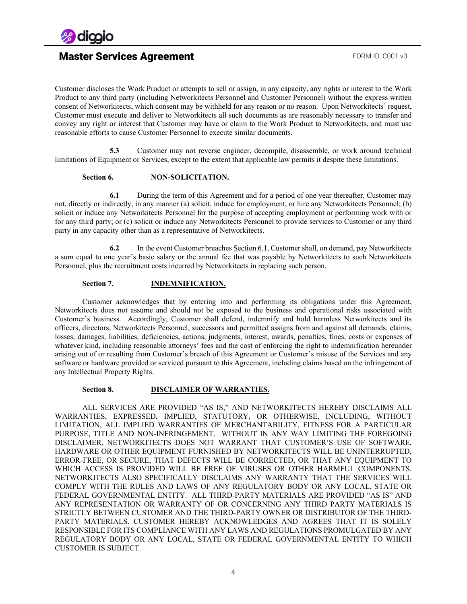

# **Master Services Agreement FORM ID: C001 v3**

Customer discloses the Work Product or attempts to sell or assign, in any capacity, any rights or interest to the Work Product to any third party (including Networkitects Personnel and Customer Personnel) without the express written consent of Networkitects, which consent may be withheld for any reason or no reason. Upon Networkitects' request, Customer must execute and deliver to Networkitects all such documents as are reasonably necessary to transfer and convey any right or interest that Customer may have or claim to the Work Product to Networkitects, and must use reasonable efforts to cause Customer Personnel to execute similar documents.

**5.3** Customer may not reverse engineer, decompile, disassemble, or work around technical limitations of Equipment or Services, except to the extent that applicable law permits it despite these limitations.

### **Section 6. NON-SOLICITATION.**

<span id="page-3-3"></span><span id="page-3-0"></span>**6.1** During the term of this Agreement and for a period of one year thereafter, Customer may not, directly or indirectly, in any manner (a) solicit, induce for employment, or hire any Networkitects Personnel; (b) solicit or induce any Networkitects Personnel for the purpose of accepting employment or performing work with or for any third party; or (c) solicit or induce any Networkitects Personnel to provide services to Customer or any third party in any capacity other than as a representative of Networkitects.

**6.2** In the event Customer breaches Sectio[n 6.1,](#page-3-3) Customer shall, on demand, pay Networkitects a sum equal to one year's basic salary or the annual fee that was payable by Networkitects to such Networkitects Personnel, plus the recruitment costs incurred by Networkitects in replacing such person.

### **Section 7. INDEMNIFICATION.**

<span id="page-3-1"></span>Customer acknowledges that by entering into and performing its obligations under this Agreement, Networkitects does not assume and should not be exposed to the business and operational risks associated with Customer's business. Accordingly, Customer shall defend, indemnify and hold harmless Networkitects and its officers, directors, Networkitects Personnel, successors and permitted assigns from and against all demands, claims, losses, damages, liabilities, deficiencies, actions, judgments, interest, awards, penalties, fines, costs or expenses of whatever kind, including reasonable attorneys' fees and the cost of enforcing the right to indemnification hereunder arising out of or resulting from Customer's breach of this Agreement or Customer's misuse of the Services and any software or hardware provided or serviced pursuant to this Agreement, including claims based on the infringement of any Intellectual Property Rights.

### **Section 8. DISCLAIMER OF WARRANTIES.**

<span id="page-3-2"></span>ALL SERVICES ARE PROVIDED "AS IS," AND NETWORKITECTS HEREBY DISCLAIMS ALL WARRANTIES, EXPRESSED, IMPLIED, STATUTORY, OR OTHERWISE, INCLUDING, WITHOUT LIMITATION, ALL IMPLIED WARRANTIES OF MERCHANTABILITY, FITNESS FOR A PARTICULAR PURPOSE, TITLE AND NON-INFRINGEMENT. WITHOUT IN ANY WAY LIMITING THE FOREGOING DISCLAIMER, NETWORKITECTS DOES NOT WARRANT THAT CUSTOMER'S USE OF SOFTWARE, HARDWARE OR OTHER EQUIPMENT FURNISHED BY NETWORKITECTS WILL BE UNINTERRUPTED, ERROR-FREE, OR SECURE, THAT DEFECTS WILL BE CORRECTED, OR THAT ANY EQUIPMENT TO WHICH ACCESS IS PROVIDED WILL BE FREE OF VIRUSES OR OTHER HARMFUL COMPONENTS. NETWORKITECTS ALSO SPECIFICALLY DISCLAIMS ANY WARRANTY THAT THE SERVICES WILL COMPLY WITH THE RULES AND LAWS OF ANY REGULATORY BODY OR ANY LOCAL, STATE OR FEDERAL GOVERNMENTAL ENTITY. ALL THIRD-PARTY MATERIALS ARE PROVIDED "AS IS" AND ANY REPRESENTATION OR WARRANTY OF OR CONCERNING ANY THIRD PARTY MATERIALS IS STRICTLY BETWEEN CUSTOMER AND THE THIRD-PARTY OWNER OR DISTRIBUTOR OF THE THIRD-PARTY MATERIALS. CUSTOMER HEREBY ACKNOWLEDGES AND AGREES THAT IT IS SOLELY RESPONSIBLE FOR ITS COMPLIANCE WITH ANY LAWS AND REGULATIONS PROMULGATED BY ANY REGULATORY BODY OR ANY LOCAL, STATE OR FEDERAL GOVERNMENTAL ENTITY TO WHICH CUSTOMER IS SUBJECT.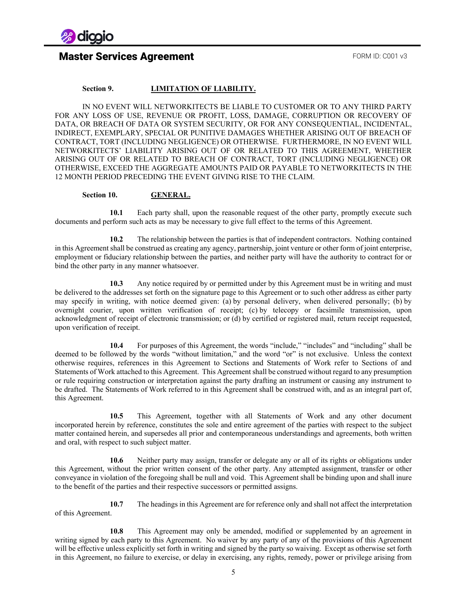

## **Master Services Agreement FORM ID: C001 v3**

### **Section 9. LIMITATION OF LIABILITY.**

<span id="page-4-0"></span>IN NO EVENT WILL NETWORKITECTS BE LIABLE TO CUSTOMER OR TO ANY THIRD PARTY FOR ANY LOSS OF USE, REVENUE OR PROFIT, LOSS, DAMAGE, CORRUPTION OR RECOVERY OF DATA, OR BREACH OF DATA OR SYSTEM SECURITY, OR FOR ANY CONSEQUENTIAL, INCIDENTAL, INDIRECT, EXEMPLARY, SPECIAL OR PUNITIVE DAMAGES WHETHER ARISING OUT OF BREACH OF CONTRACT, TORT (INCLUDING NEGLIGENCE) OR OTHERWISE. FURTHERMORE, IN NO EVENT WILL NETWORKITECTS' LIABILITY ARISING OUT OF OR RELATED TO THIS AGREEMENT, WHETHER ARISING OUT OF OR RELATED TO BREACH OF CONTRACT, TORT (INCLUDING NEGLIGENCE) OR OTHERWISE, EXCEED THE AGGREGATE AMOUNTS PAID OR PAYABLE TO NETWORKITECTS IN THE 12 MONTH PERIOD PRECEDING THE EVENT GIVING RISE TO THE CLAIM.

### **Section 10. GENERAL.**

<span id="page-4-1"></span>**10.1** Each party shall, upon the reasonable request of the other party, promptly execute such documents and perform such acts as may be necessary to give full effect to the terms of this Agreement.

**10.2** The relationship between the parties is that of independent contractors. Nothing contained in this Agreement shall be construed as creating any agency, partnership, joint venture or other form of joint enterprise, employment or fiduciary relationship between the parties, and neither party will have the authority to contract for or bind the other party in any manner whatsoever.

**10.3** Any notice required by or permitted under by this Agreement must be in writing and must be delivered to the addresses set forth on the signature page to this Agreement or to such other address as either party may specify in writing, with notice deemed given: (a) by personal delivery, when delivered personally; (b) by overnight courier, upon written verification of receipt; (c) by telecopy or facsimile transmission, upon acknowledgment of receipt of electronic transmission; or (d) by certified or registered mail, return receipt requested, upon verification of receipt.

**10.4** For purposes of this Agreement, the words "include," "includes" and "including" shall be deemed to be followed by the words "without limitation," and the word "or" is not exclusive. Unless the context otherwise requires, references in this Agreement to Sections and Statements of Work refer to Sections of and Statements of Work attached to this Agreement. This Agreement shall be construed without regard to any presumption or rule requiring construction or interpretation against the party drafting an instrument or causing any instrument to be drafted. The Statements of Work referred to in this Agreement shall be construed with, and as an integral part of, this Agreement.

**10.5** This Agreement, together with all Statements of Work and any other document incorporated herein by reference, constitutes the sole and entire agreement of the parties with respect to the subject matter contained herein, and supersedes all prior and contemporaneous understandings and agreements, both written and oral, with respect to such subject matter.

**10.6** Neither party may assign, transfer or delegate any or all of its rights or obligations under this Agreement, without the prior written consent of the other party. Any attempted assignment, transfer or other conveyance in violation of the foregoing shall be null and void. This Agreement shall be binding upon and shall inure to the benefit of the parties and their respective successors or permitted assigns.

**10.7** The headings in this Agreement are for reference only and shall not affect the interpretation of this Agreement.

**10.8** This Agreement may only be amended, modified or supplemented by an agreement in writing signed by each party to this Agreement. No waiver by any party of any of the provisions of this Agreement will be effective unless explicitly set forth in writing and signed by the party so waiving. Except as otherwise set forth in this Agreement, no failure to exercise, or delay in exercising, any rights, remedy, power or privilege arising from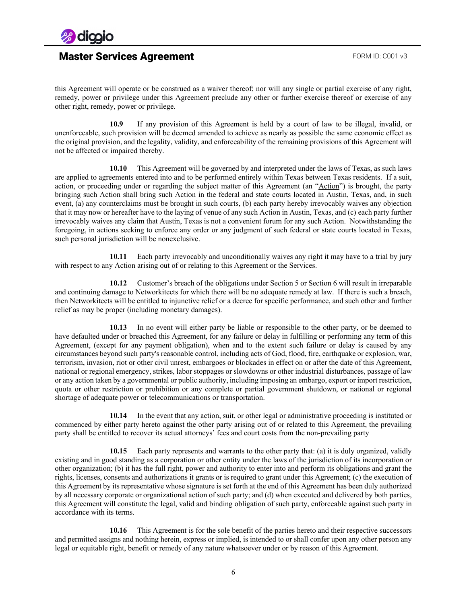

this Agreement will operate or be construed as a waiver thereof; nor will any single or partial exercise of any right, remedy, power or privilege under this Agreement preclude any other or further exercise thereof or exercise of any other right, remedy, power or privilege.

**10.9** If any provision of this Agreement is held by a court of law to be illegal, invalid, or unenforceable, such provision will be deemed amended to achieve as nearly as possible the same economic effect as the original provision, and the legality, validity, and enforceability of the remaining provisions of this Agreement will not be affected or impaired thereby.

**10.10** This Agreement will be governed by and interpreted under the laws of Texas, as such laws are applied to agreements entered into and to be performed entirely within Texas between Texas residents. If a suit, action, or proceeding under or regarding the subject matter of this Agreement (an "Action") is brought, the party bringing such Action shall bring such Action in the federal and state courts located in Austin, Texas, and, in such event, (a) any counterclaims must be brought in such courts, (b) each party hereby irrevocably waives any objection that it may now or hereafter have to the laying of venue of any such Action in Austin, Texas, and (c) each party further irrevocably waives any claim that Austin, Texas is not a convenient forum for any such Action. Notwithstanding the foregoing, in actions seeking to enforce any order or any judgment of such federal or state courts located in Texas, such personal jurisdiction will be nonexclusive.

**10.11** Each party irrevocably and unconditionally waives any right it may have to a trial by jury with respect to any Action arising out of or relating to this Agreement or the Services.

**10.12** Customer's breach of the obligations unde[r Section 5](#page-2-0) o[r Section 6](#page-3-0) will result in irreparable and continuing damage to Networkitects for which there will be no adequate remedy at law. If there is such a breach, then Networkitects will be entitled to injunctive relief or a decree for specific performance, and such other and further relief as may be proper (including monetary damages).

**10.13** In no event will either party be liable or responsible to the other party, or be deemed to have defaulted under or breached this Agreement, for any failure or delay in fulfilling or performing any term of this Agreement, (except for any payment obligation), when and to the extent such failure or delay is caused by any circumstances beyond such party's reasonable control, including acts of God, flood, fire, earthquake or explosion, war, terrorism, invasion, riot or other civil unrest, embargoes or blockades in effect on or after the date of this Agreement, national or regional emergency, strikes, labor stoppages or slowdowns or other industrial disturbances, passage of law or any action taken by a governmental or public authority, including imposing an embargo, export or import restriction, quota or other restriction or prohibition or any complete or partial government shutdown, or national or regional shortage of adequate power or telecommunications or transportation.

**10.14** In the event that any action, suit, or other legal or administrative proceeding is instituted or commenced by either party hereto against the other party arising out of or related to this Agreement, the prevailing party shall be entitled to recover its actual attorneys' fees and court costs from the non-prevailing party

**10.15** Each party represents and warrants to the other party that: (a) it is duly organized, validly existing and in good standing as a corporation or other entity under the laws of the jurisdiction of its incorporation or other organization; (b) it has the full right, power and authority to enter into and perform its obligations and grant the rights, licenses, consents and authorizations it grants or is required to grant under this Agreement; (c) the execution of this Agreement by its representative whose signature is set forth at the end of this Agreement has been duly authorized by all necessary corporate or organizational action of such party; and (d) when executed and delivered by both parties, this Agreement will constitute the legal, valid and binding obligation of such party, enforceable against such party in accordance with its terms.

**10.16** This Agreement is for the sole benefit of the parties hereto and their respective successors and permitted assigns and nothing herein, express or implied, is intended to or shall confer upon any other person any legal or equitable right, benefit or remedy of any nature whatsoever under or by reason of this Agreement.